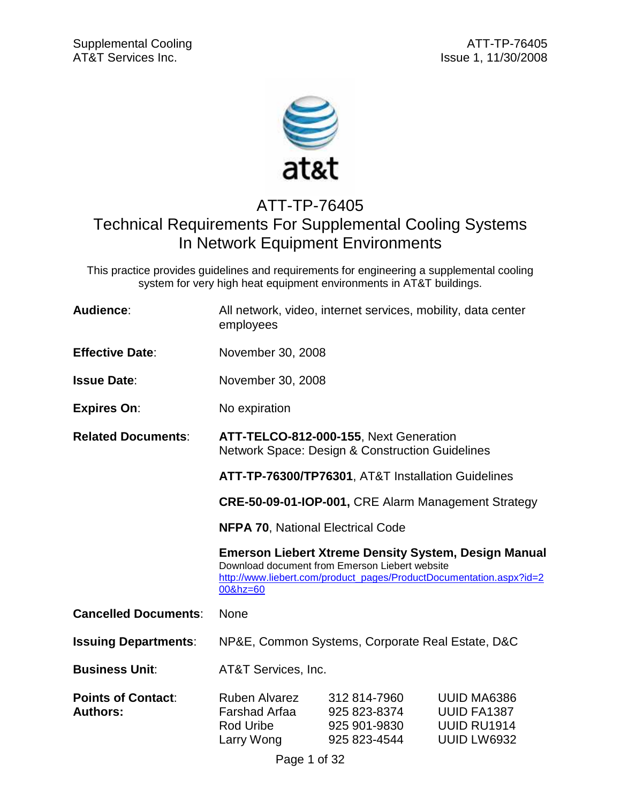

# ATT-TP-76405 Technical Requirements For Supplemental Cooling Systems In Network Equipment Environments

This practice provides guidelines and requirements for engineering a supplemental cooling system for very high heat equipment environments in AT&T buildings.

| Audience:                                    | All network, video, internet services, mobility, data center<br>employees                                                                             |                                                              |                                                                                                                                    |  |
|----------------------------------------------|-------------------------------------------------------------------------------------------------------------------------------------------------------|--------------------------------------------------------------|------------------------------------------------------------------------------------------------------------------------------------|--|
| <b>Effective Date:</b>                       | November 30, 2008                                                                                                                                     |                                                              |                                                                                                                                    |  |
| <b>Issue Date:</b>                           | November 30, 2008                                                                                                                                     |                                                              |                                                                                                                                    |  |
| <b>Expires On:</b>                           | No expiration                                                                                                                                         |                                                              |                                                                                                                                    |  |
| <b>Related Documents:</b>                    | ATT-TELCO-812-000-155, Next Generation<br><b>Network Space: Design &amp; Construction Guidelines</b>                                                  |                                                              |                                                                                                                                    |  |
|                                              | ATT-TP-76300/TP76301, AT&T Installation Guidelines<br>CRE-50-09-01-IOP-001, CRE Alarm Management Strategy<br><b>NFPA 70, National Electrical Code</b> |                                                              |                                                                                                                                    |  |
|                                              |                                                                                                                                                       |                                                              |                                                                                                                                    |  |
|                                              |                                                                                                                                                       |                                                              |                                                                                                                                    |  |
|                                              |                                                                                                                                                       |                                                              |                                                                                                                                    |  |
|                                              | 00&hz=60                                                                                                                                              | Download document from Emerson Liebert website               | <b>Emerson Liebert Xtreme Density System, Design Manual</b><br>http://www.liebert.com/product_pages/ProductDocumentation.aspx?id=2 |  |
| <b>Cancelled Documents:</b>                  | None                                                                                                                                                  |                                                              |                                                                                                                                    |  |
| <b>Issuing Departments:</b>                  |                                                                                                                                                       | NP&E, Common Systems, Corporate Real Estate, D&C             |                                                                                                                                    |  |
| <b>Business Unit:</b>                        | AT&T Services, Inc.                                                                                                                                   |                                                              |                                                                                                                                    |  |
| <b>Points of Contact:</b><br><b>Authors:</b> | <b>Ruben Alvarez</b><br>Farshad Arfaa<br><b>Rod Uribe</b><br>Larry Wong                                                                               | 312 814-7960<br>925 823-8374<br>925 901-9830<br>925 823-4544 | UUID MA6386<br>UUID FA1387<br>UUID RU1914<br>UUID LW6932                                                                           |  |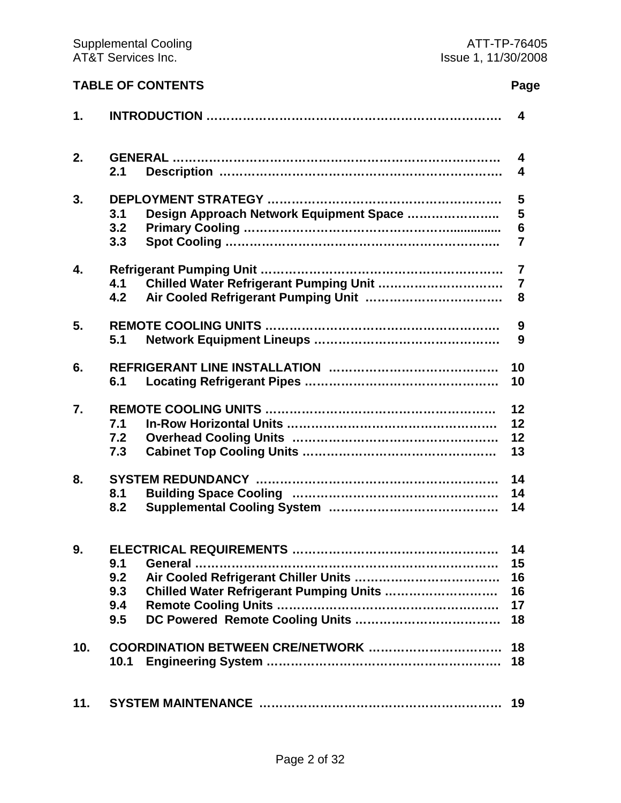## **TABLE OF CONTENTS Page**

| 1.  |                                                                                    | $\overline{\mathbf{4}}$                     |
|-----|------------------------------------------------------------------------------------|---------------------------------------------|
| 2.  | 2.1                                                                                | $\overline{\mathbf{4}}$<br>4                |
| 3.  | 3.1<br>Design Approach Network Equipment Space<br>3.2<br>3.3                       | 5<br>5<br>$6\phantom{1}6$<br>$\overline{7}$ |
| 4.  | Chilled Water Refrigerant Pumping Unit<br>4.1<br>4.2                               | $\overline{7}$<br>$\overline{7}$<br>8       |
| 5.  | 5.1                                                                                | 9<br>9                                      |
| 6.  | 6.1                                                                                | 10<br>10                                    |
| 7.  | 7.1<br>7.2<br>7.3                                                                  | 12<br>12<br>12<br>13                        |
| 8.  | 8.1<br>8.2                                                                         | 14<br>14<br>14                              |
| 9.  | 9.1 General<br>9.2<br>Chilled Water Refrigerant Pumping Units<br>9.3<br>9.4<br>9.5 | 14<br>15<br>16<br>16<br>17<br>18            |
| 10. | 10.1                                                                               | 18<br>18                                    |
| 11. |                                                                                    | 19                                          |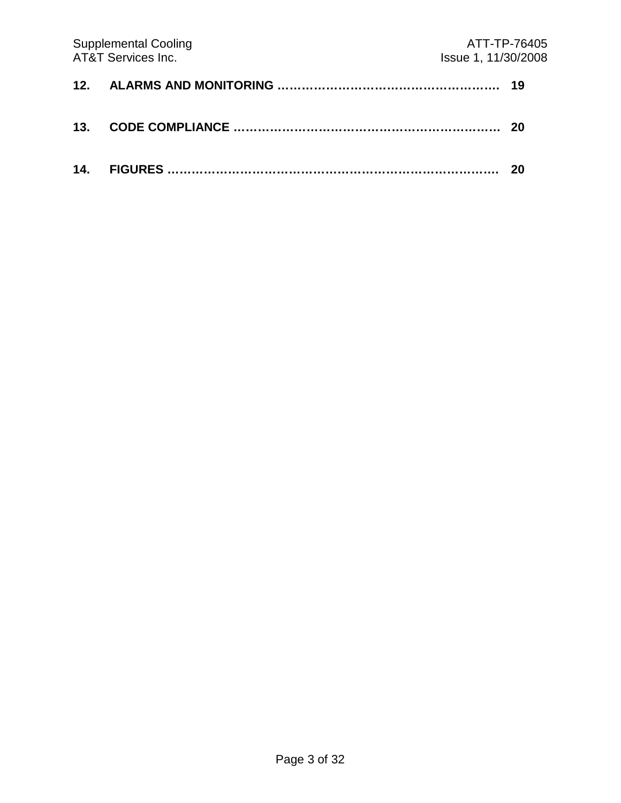| <b>Supplemental Cooling</b><br><b>AT&amp;T Services Inc.</b> |  | ATT-TP-76405<br>Issue 1, 11/30/2008 |  |
|--------------------------------------------------------------|--|-------------------------------------|--|
|                                                              |  |                                     |  |
|                                                              |  |                                     |  |
|                                                              |  | -20                                 |  |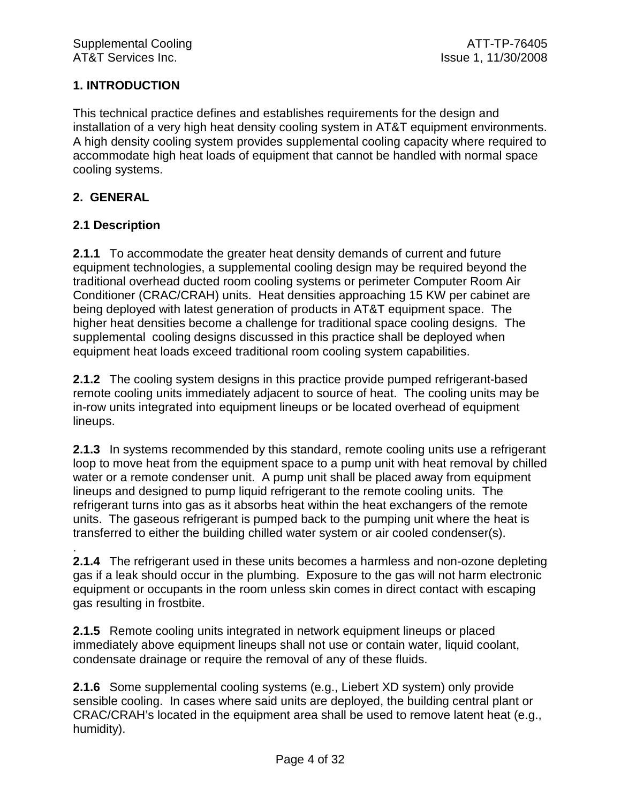## **1. INTRODUCTION**

This technical practice defines and establishes requirements for the design and installation of a very high heat density cooling system in AT&T equipment environments. A high density cooling system provides supplemental cooling capacity where required to accommodate high heat loads of equipment that cannot be handled with normal space cooling systems.

#### **2. GENERAL**

### **2.1 Description**

**2.1.1** To accommodate the greater heat density demands of current and future equipment technologies, a supplemental cooling design may be required beyond the traditional overhead ducted room cooling systems or perimeter Computer Room Air Conditioner (CRAC/CRAH) units. Heat densities approaching 15 KW per cabinet are being deployed with latest generation of products in AT&T equipment space. The higher heat densities become a challenge for traditional space cooling designs. The supplemental cooling designs discussed in this practice shall be deployed when equipment heat loads exceed traditional room cooling system capabilities.

**2.1.2** The cooling system designs in this practice provide pumped refrigerant-based remote cooling units immediately adjacent to source of heat. The cooling units may be in-row units integrated into equipment lineups or be located overhead of equipment lineups.

**2.1.3** In systems recommended by this standard, remote cooling units use a refrigerant loop to move heat from the equipment space to a pump unit with heat removal by chilled water or a remote condenser unit. A pump unit shall be placed away from equipment lineups and designed to pump liquid refrigerant to the remote cooling units. The refrigerant turns into gas as it absorbs heat within the heat exchangers of the remote units. The gaseous refrigerant is pumped back to the pumping unit where the heat is transferred to either the building chilled water system or air cooled condenser(s).

. **2.1.4** The refrigerant used in these units becomes a harmless and non-ozone depleting gas if a leak should occur in the plumbing. Exposure to the gas will not harm electronic equipment or occupants in the room unless skin comes in direct contact with escaping gas resulting in frostbite.

**2.1.5** Remote cooling units integrated in network equipment lineups or placed immediately above equipment lineups shall not use or contain water, liquid coolant, condensate drainage or require the removal of any of these fluids.

**2.1.6** Some supplemental cooling systems (e.g., Liebert XD system) only provide sensible cooling. In cases where said units are deployed, the building central plant or CRAC/CRAH's located in the equipment area shall be used to remove latent heat (e.g., humidity).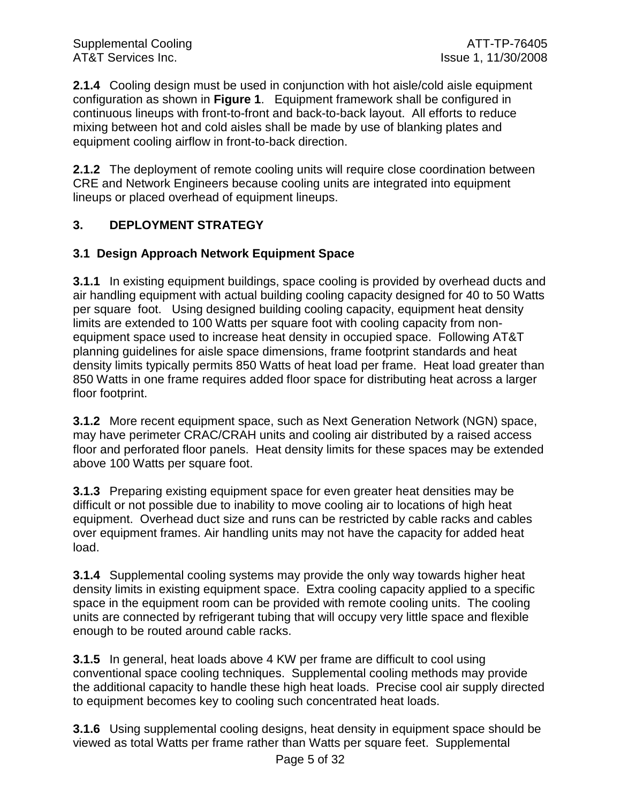**2.1.4** Cooling design must be used in conjunction with hot aisle/cold aisle equipment configuration as shown in **Figure 1**. Equipment framework shall be configured in continuous lineups with front-to-front and back-to-back layout. All efforts to reduce mixing between hot and cold aisles shall be made by use of blanking plates and equipment cooling airflow in front-to-back direction.

**2.1.2** The deployment of remote cooling units will require close coordination between CRE and Network Engineers because cooling units are integrated into equipment lineups or placed overhead of equipment lineups.

## **3. DEPLOYMENT STRATEGY**

## **3.1 Design Approach Network Equipment Space**

**3.1.1** In existing equipment buildings, space cooling is provided by overhead ducts and air handling equipment with actual building cooling capacity designed for 40 to 50 Watts per square foot. Using designed building cooling capacity, equipment heat density limits are extended to 100 Watts per square foot with cooling capacity from nonequipment space used to increase heat density in occupied space. Following AT&T planning guidelines for aisle space dimensions, frame footprint standards and heat density limits typically permits 850 Watts of heat load per frame. Heat load greater than 850 Watts in one frame requires added floor space for distributing heat across a larger floor footprint.

**3.1.2** More recent equipment space, such as Next Generation Network (NGN) space, may have perimeter CRAC/CRAH units and cooling air distributed by a raised access floor and perforated floor panels. Heat density limits for these spaces may be extended above 100 Watts per square foot.

**3.1.3** Preparing existing equipment space for even greater heat densities may be difficult or not possible due to inability to move cooling air to locations of high heat equipment. Overhead duct size and runs can be restricted by cable racks and cables over equipment frames. Air handling units may not have the capacity for added heat load.

**3.1.4** Supplemental cooling systems may provide the only way towards higher heat density limits in existing equipment space. Extra cooling capacity applied to a specific space in the equipment room can be provided with remote cooling units. The cooling units are connected by refrigerant tubing that will occupy very little space and flexible enough to be routed around cable racks.

**3.1.5** In general, heat loads above 4 KW per frame are difficult to cool using conventional space cooling techniques. Supplemental cooling methods may provide the additional capacity to handle these high heat loads. Precise cool air supply directed to equipment becomes key to cooling such concentrated heat loads.

**3.1.6** Using supplemental cooling designs, heat density in equipment space should be viewed as total Watts per frame rather than Watts per square feet. Supplemental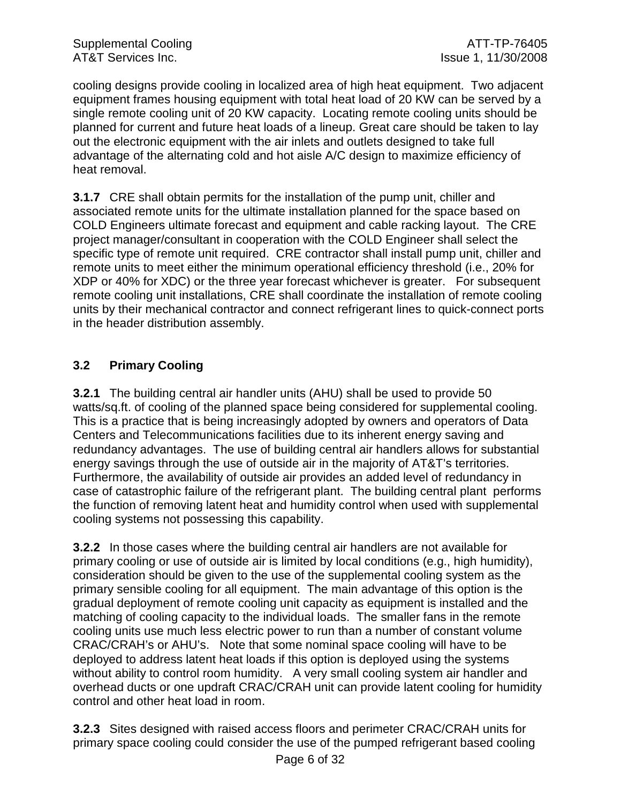cooling designs provide cooling in localized area of high heat equipment. Two adjacent equipment frames housing equipment with total heat load of 20 KW can be served by a single remote cooling unit of 20 KW capacity. Locating remote cooling units should be planned for current and future heat loads of a lineup. Great care should be taken to lay out the electronic equipment with the air inlets and outlets designed to take full advantage of the alternating cold and hot aisle A/C design to maximize efficiency of heat removal.

**3.1.7** CRE shall obtain permits for the installation of the pump unit, chiller and associated remote units for the ultimate installation planned for the space based on COLD Engineers ultimate forecast and equipment and cable racking layout. The CRE project manager/consultant in cooperation with the COLD Engineer shall select the specific type of remote unit required. CRE contractor shall install pump unit, chiller and remote units to meet either the minimum operational efficiency threshold (i.e., 20% for XDP or 40% for XDC) or the three year forecast whichever is greater. For subsequent remote cooling unit installations, CRE shall coordinate the installation of remote cooling units by their mechanical contractor and connect refrigerant lines to quick-connect ports in the header distribution assembly.

## **3.2 Primary Cooling**

**3.2.1** The building central air handler units (AHU) shall be used to provide 50 watts/sq.ft. of cooling of the planned space being considered for supplemental cooling. This is a practice that is being increasingly adopted by owners and operators of Data Centers and Telecommunications facilities due to its inherent energy saving and redundancy advantages. The use of building central air handlers allows for substantial energy savings through the use of outside air in the majority of AT&T's territories. Furthermore, the availability of outside air provides an added level of redundancy in case of catastrophic failure of the refrigerant plant. The building central plant performs the function of removing latent heat and humidity control when used with supplemental cooling systems not possessing this capability.

**3.2.2** In those cases where the building central air handlers are not available for primary cooling or use of outside air is limited by local conditions (e.g., high humidity), consideration should be given to the use of the supplemental cooling system as the primary sensible cooling for all equipment. The main advantage of this option is the gradual deployment of remote cooling unit capacity as equipment is installed and the matching of cooling capacity to the individual loads. The smaller fans in the remote cooling units use much less electric power to run than a number of constant volume CRAC/CRAH's or AHU's. Note that some nominal space cooling will have to be deployed to address latent heat loads if this option is deployed using the systems without ability to control room humidity. A very small cooling system air handler and overhead ducts or one updraft CRAC/CRAH unit can provide latent cooling for humidity control and other heat load in room.

**3.2.3** Sites designed with raised access floors and perimeter CRAC/CRAH units for primary space cooling could consider the use of the pumped refrigerant based cooling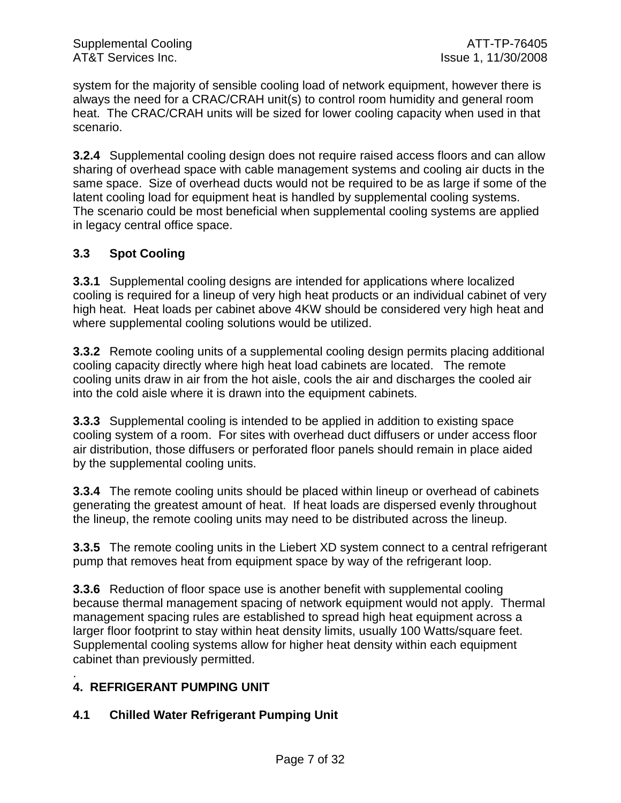system for the majority of sensible cooling load of network equipment, however there is always the need for a CRAC/CRAH unit(s) to control room humidity and general room heat. The CRAC/CRAH units will be sized for lower cooling capacity when used in that scenario.

**3.2.4** Supplemental cooling design does not require raised access floors and can allow sharing of overhead space with cable management systems and cooling air ducts in the same space. Size of overhead ducts would not be required to be as large if some of the latent cooling load for equipment heat is handled by supplemental cooling systems. The scenario could be most beneficial when supplemental cooling systems are applied in legacy central office space.

## **3.3 Spot Cooling**

**3.3.1** Supplemental cooling designs are intended for applications where localized cooling is required for a lineup of very high heat products or an individual cabinet of very high heat. Heat loads per cabinet above 4KW should be considered very high heat and where supplemental cooling solutions would be utilized.

**3.3.2** Remote cooling units of a supplemental cooling design permits placing additional cooling capacity directly where high heat load cabinets are located. The remote cooling units draw in air from the hot aisle, cools the air and discharges the cooled air into the cold aisle where it is drawn into the equipment cabinets.

**3.3.3** Supplemental cooling is intended to be applied in addition to existing space cooling system of a room. For sites with overhead duct diffusers or under access floor air distribution, those diffusers or perforated floor panels should remain in place aided by the supplemental cooling units.

**3.3.4** The remote cooling units should be placed within lineup or overhead of cabinets generating the greatest amount of heat. If heat loads are dispersed evenly throughout the lineup, the remote cooling units may need to be distributed across the lineup.

**3.3.5** The remote cooling units in the Liebert XD system connect to a central refrigerant pump that removes heat from equipment space by way of the refrigerant loop.

**3.3.6** Reduction of floor space use is another benefit with supplemental cooling because thermal management spacing of network equipment would not apply. Thermal management spacing rules are established to spread high heat equipment across a larger floor footprint to stay within heat density limits, usually 100 Watts/square feet. Supplemental cooling systems allow for higher heat density within each equipment cabinet than previously permitted.

#### . **4. REFRIGERANT PUMPING UNIT**

### **4.1 Chilled Water Refrigerant Pumping Unit**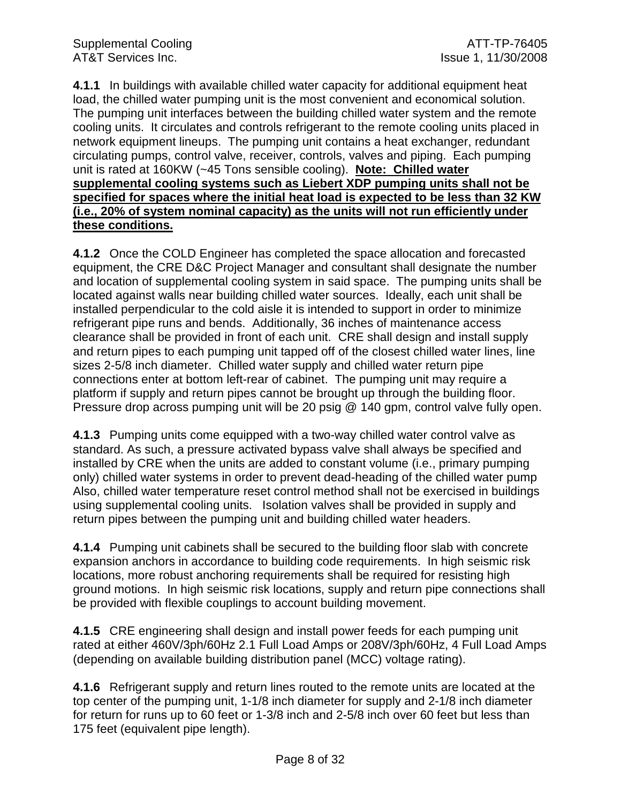**4.1.1** In buildings with available chilled water capacity for additional equipment heat load, the chilled water pumping unit is the most convenient and economical solution. The pumping unit interfaces between the building chilled water system and the remote cooling units. It circulates and controls refrigerant to the remote cooling units placed in network equipment lineups. The pumping unit contains a heat exchanger, redundant circulating pumps, control valve, receiver, controls, valves and piping. Each pumping unit is rated at 160KW (~45 Tons sensible cooling). **Note: Chilled water supplemental cooling systems such as Liebert XDP pumping units shall not be specified for spaces where the initial heat load is expected to be less than 32 KW (i.e., 20% of system nominal capacity) as the units will not run efficiently under these conditions.**

**4.1.2** Once the COLD Engineer has completed the space allocation and forecasted equipment, the CRE D&C Project Manager and consultant shall designate the number and location of supplemental cooling system in said space. The pumping units shall be located against walls near building chilled water sources. Ideally, each unit shall be installed perpendicular to the cold aisle it is intended to support in order to minimize refrigerant pipe runs and bends. Additionally, 36 inches of maintenance access clearance shall be provided in front of each unit. CRE shall design and install supply and return pipes to each pumping unit tapped off of the closest chilled water lines, line sizes 2-5/8 inch diameter. Chilled water supply and chilled water return pipe connections enter at bottom left-rear of cabinet. The pumping unit may require a platform if supply and return pipes cannot be brought up through the building floor. Pressure drop across pumping unit will be 20 psig @ 140 gpm, control valve fully open.

**4.1.3** Pumping units come equipped with a two-way chilled water control valve as standard. As such, a pressure activated bypass valve shall always be specified and installed by CRE when the units are added to constant volume (i.e., primary pumping only) chilled water systems in order to prevent dead-heading of the chilled water pump Also, chilled water temperature reset control method shall not be exercised in buildings using supplemental cooling units. Isolation valves shall be provided in supply and return pipes between the pumping unit and building chilled water headers.

**4.1.4** Pumping unit cabinets shall be secured to the building floor slab with concrete expansion anchors in accordance to building code requirements. In high seismic risk locations, more robust anchoring requirements shall be required for resisting high ground motions. In high seismic risk locations, supply and return pipe connections shall be provided with flexible couplings to account building movement.

**4.1.5** CRE engineering shall design and install power feeds for each pumping unit rated at either 460V/3ph/60Hz 2.1 Full Load Amps or 208V/3ph/60Hz, 4 Full Load Amps (depending on available building distribution panel (MCC) voltage rating).

**4.1.6** Refrigerant supply and return lines routed to the remote units are located at the top center of the pumping unit, 1-1/8 inch diameter for supply and 2-1/8 inch diameter for return for runs up to 60 feet or 1-3/8 inch and 2-5/8 inch over 60 feet but less than 175 feet (equivalent pipe length).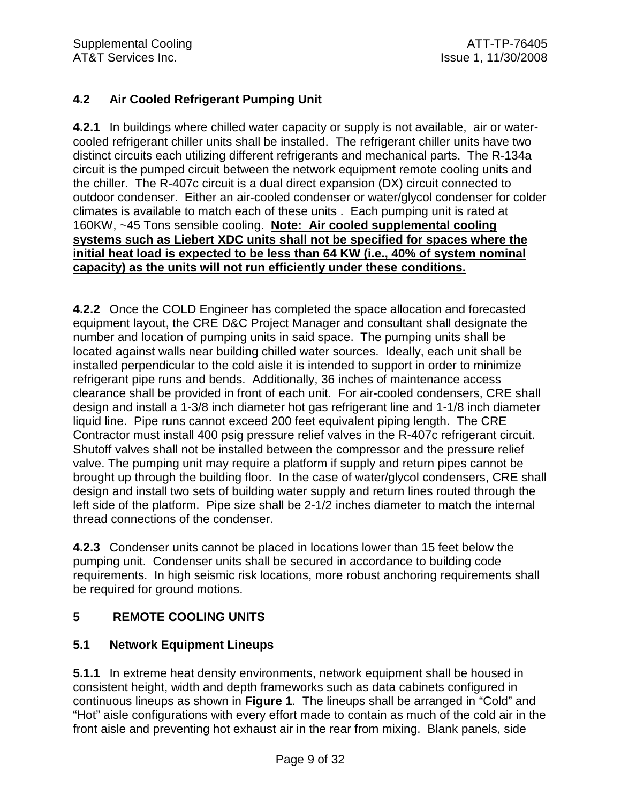## **4.2 Air Cooled Refrigerant Pumping Unit**

**4.2.1** In buildings where chilled water capacity or supply is not available, air or watercooled refrigerant chiller units shall be installed. The refrigerant chiller units have two distinct circuits each utilizing different refrigerants and mechanical parts. The R-134a circuit is the pumped circuit between the network equipment remote cooling units and the chiller. The R-407c circuit is a dual direct expansion (DX) circuit connected to outdoor condenser. Either an air-cooled condenser or water/glycol condenser for colder climates is available to match each of these units . Each pumping unit is rated at 160KW, ~45 Tons sensible cooling. **Note: Air cooled supplemental cooling systems such as Liebert XDC units shall not be specified for spaces where the initial heat load is expected to be less than 64 KW (i.e., 40% of system nominal capacity) as the units will not run efficiently under these conditions.**

**4.2.2** Once the COLD Engineer has completed the space allocation and forecasted equipment layout, the CRE D&C Project Manager and consultant shall designate the number and location of pumping units in said space. The pumping units shall be located against walls near building chilled water sources. Ideally, each unit shall be installed perpendicular to the cold aisle it is intended to support in order to minimize refrigerant pipe runs and bends. Additionally, 36 inches of maintenance access clearance shall be provided in front of each unit. For air-cooled condensers, CRE shall design and install a 1-3/8 inch diameter hot gas refrigerant line and 1-1/8 inch diameter liquid line. Pipe runs cannot exceed 200 feet equivalent piping length. The CRE Contractor must install 400 psig pressure relief valves in the R-407c refrigerant circuit. Shutoff valves shall not be installed between the compressor and the pressure relief valve. The pumping unit may require a platform if supply and return pipes cannot be brought up through the building floor. In the case of water/glycol condensers, CRE shall design and install two sets of building water supply and return lines routed through the left side of the platform. Pipe size shall be 2-1/2 inches diameter to match the internal thread connections of the condenser.

**4.2.3** Condenser units cannot be placed in locations lower than 15 feet below the pumping unit. Condenser units shall be secured in accordance to building code requirements. In high seismic risk locations, more robust anchoring requirements shall be required for ground motions.

### **5 REMOTE COOLING UNITS**

### **5.1 Network Equipment Lineups**

**5.1.1** In extreme heat density environments, network equipment shall be housed in consistent height, width and depth frameworks such as data cabinets configured in continuous lineups as shown in **Figure 1**. The lineups shall be arranged in "Cold" and "Hot" aisle configurations with every effort made to contain as much of the cold air in the front aisle and preventing hot exhaust air in the rear from mixing. Blank panels, side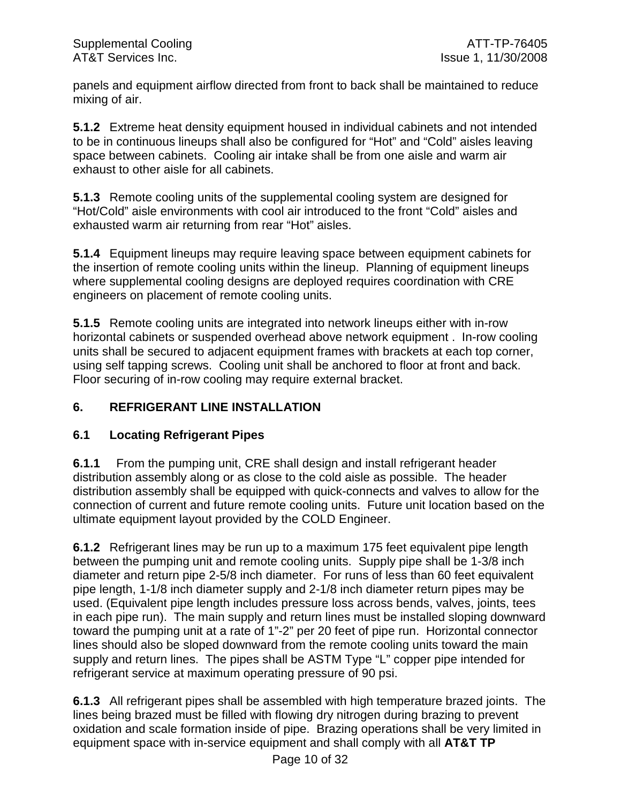panels and equipment airflow directed from front to back shall be maintained to reduce mixing of air.

**5.1.2** Extreme heat density equipment housed in individual cabinets and not intended to be in continuous lineups shall also be configured for "Hot" and "Cold" aisles leaving space between cabinets. Cooling air intake shall be from one aisle and warm air exhaust to other aisle for all cabinets.

**5.1.3** Remote cooling units of the supplemental cooling system are designed for "Hot/Cold" aisle environments with cool air introduced to the front "Cold" aisles and exhausted warm air returning from rear "Hot" aisles.

**5.1.4** Equipment lineups may require leaving space between equipment cabinets for the insertion of remote cooling units within the lineup. Planning of equipment lineups where supplemental cooling designs are deployed requires coordination with CRE engineers on placement of remote cooling units.

**5.1.5** Remote cooling units are integrated into network lineups either with in-row horizontal cabinets or suspended overhead above network equipment . In-row cooling units shall be secured to adjacent equipment frames with brackets at each top corner, using self tapping screws. Cooling unit shall be anchored to floor at front and back. Floor securing of in-row cooling may require external bracket.

## **6. REFRIGERANT LINE INSTALLATION**

### **6.1 Locating Refrigerant Pipes**

**6.1.1** From the pumping unit, CRE shall design and install refrigerant header distribution assembly along or as close to the cold aisle as possible. The header distribution assembly shall be equipped with quick-connects and valves to allow for the connection of current and future remote cooling units. Future unit location based on the ultimate equipment layout provided by the COLD Engineer.

**6.1.2** Refrigerant lines may be run up to a maximum 175 feet equivalent pipe length between the pumping unit and remote cooling units. Supply pipe shall be 1-3/8 inch diameter and return pipe 2-5/8 inch diameter. For runs of less than 60 feet equivalent pipe length, 1-1/8 inch diameter supply and 2-1/8 inch diameter return pipes may be used. (Equivalent pipe length includes pressure loss across bends, valves, joints, tees in each pipe run). The main supply and return lines must be installed sloping downward toward the pumping unit at a rate of 1"-2" per 20 feet of pipe run. Horizontal connector lines should also be sloped downward from the remote cooling units toward the main supply and return lines. The pipes shall be ASTM Type "L" copper pipe intended for refrigerant service at maximum operating pressure of 90 psi.

**6.1.3** All refrigerant pipes shall be assembled with high temperature brazed joints. The lines being brazed must be filled with flowing dry nitrogen during brazing to prevent oxidation and scale formation inside of pipe. Brazing operations shall be very limited in equipment space with in-service equipment and shall comply with all **AT&T TP**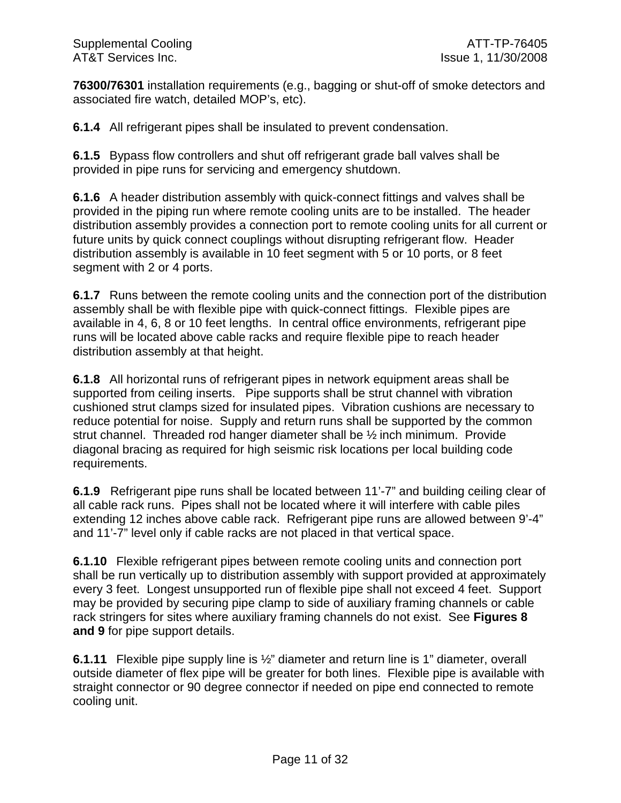**76300/76301** installation requirements (e.g., bagging or shut-off of smoke detectors and associated fire watch, detailed MOP's, etc).

**6.1.4** All refrigerant pipes shall be insulated to prevent condensation.

**6.1.5** Bypass flow controllers and shut off refrigerant grade ball valves shall be provided in pipe runs for servicing and emergency shutdown.

**6.1.6** A header distribution assembly with quick-connect fittings and valves shall be provided in the piping run where remote cooling units are to be installed. The header distribution assembly provides a connection port to remote cooling units for all current or future units by quick connect couplings without disrupting refrigerant flow. Header distribution assembly is available in 10 feet segment with 5 or 10 ports, or 8 feet segment with 2 or 4 ports.

**6.1.7** Runs between the remote cooling units and the connection port of the distribution assembly shall be with flexible pipe with quick-connect fittings. Flexible pipes are available in 4, 6, 8 or 10 feet lengths. In central office environments, refrigerant pipe runs will be located above cable racks and require flexible pipe to reach header distribution assembly at that height.

**6.1.8** All horizontal runs of refrigerant pipes in network equipment areas shall be supported from ceiling inserts. Pipe supports shall be strut channel with vibration cushioned strut clamps sized for insulated pipes. Vibration cushions are necessary to reduce potential for noise. Supply and return runs shall be supported by the common strut channel. Threaded rod hanger diameter shall be ½ inch minimum. Provide diagonal bracing as required for high seismic risk locations per local building code requirements.

**6.1.9** Refrigerant pipe runs shall be located between 11'-7" and building ceiling clear of all cable rack runs. Pipes shall not be located where it will interfere with cable piles extending 12 inches above cable rack. Refrigerant pipe runs are allowed between 9'-4" and 11'-7" level only if cable racks are not placed in that vertical space.

**6.1.10** Flexible refrigerant pipes between remote cooling units and connection port shall be run vertically up to distribution assembly with support provided at approximately every 3 feet. Longest unsupported run of flexible pipe shall not exceed 4 feet. Support may be provided by securing pipe clamp to side of auxiliary framing channels or cable rack stringers for sites where auxiliary framing channels do not exist. See **Figures 8 and 9** for pipe support details.

**6.1.11** Flexible pipe supply line is ½" diameter and return line is 1" diameter, overall outside diameter of flex pipe will be greater for both lines. Flexible pipe is available with straight connector or 90 degree connector if needed on pipe end connected to remote cooling unit.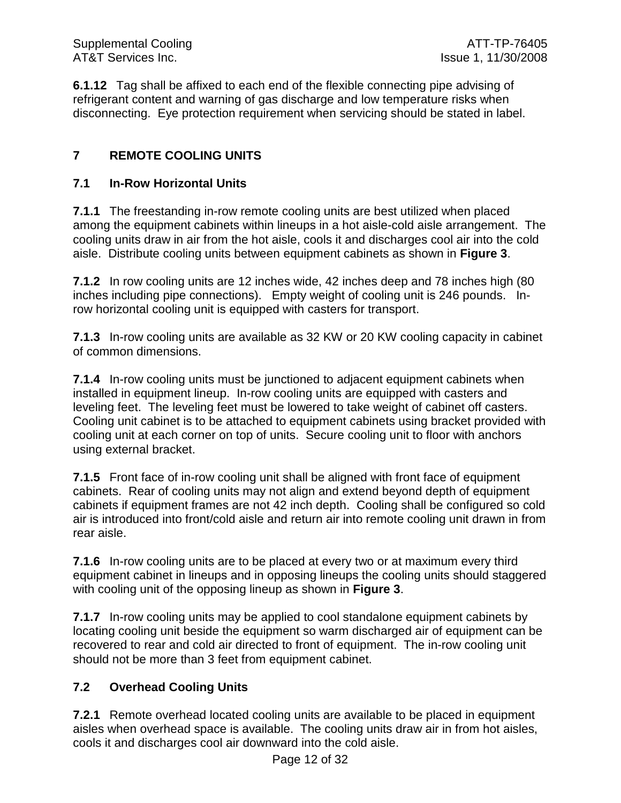**6.1.12** Tag shall be affixed to each end of the flexible connecting pipe advising of refrigerant content and warning of gas discharge and low temperature risks when disconnecting. Eye protection requirement when servicing should be stated in label.

## **7 REMOTE COOLING UNITS**

## **7.1 In-Row Horizontal Units**

**7.1.1** The freestanding in-row remote cooling units are best utilized when placed among the equipment cabinets within lineups in a hot aisle-cold aisle arrangement. The cooling units draw in air from the hot aisle, cools it and discharges cool air into the cold aisle. Distribute cooling units between equipment cabinets as shown in **Figure 3**.

**7.1.2** In row cooling units are 12 inches wide, 42 inches deep and 78 inches high (80 inches including pipe connections). Empty weight of cooling unit is 246 pounds. Inrow horizontal cooling unit is equipped with casters for transport.

**7.1.3** In-row cooling units are available as 32 KW or 20 KW cooling capacity in cabinet of common dimensions.

**7.1.4** In-row cooling units must be junctioned to adjacent equipment cabinets when installed in equipment lineup. In-row cooling units are equipped with casters and leveling feet. The leveling feet must be lowered to take weight of cabinet off casters. Cooling unit cabinet is to be attached to equipment cabinets using bracket provided with cooling unit at each corner on top of units. Secure cooling unit to floor with anchors using external bracket.

**7.1.5** Front face of in-row cooling unit shall be aligned with front face of equipment cabinets. Rear of cooling units may not align and extend beyond depth of equipment cabinets if equipment frames are not 42 inch depth. Cooling shall be configured so cold air is introduced into front/cold aisle and return air into remote cooling unit drawn in from rear aisle.

**7.1.6** In-row cooling units are to be placed at every two or at maximum every third equipment cabinet in lineups and in opposing lineups the cooling units should staggered with cooling unit of the opposing lineup as shown in **Figure 3**.

**7.1.7** In-row cooling units may be applied to cool standalone equipment cabinets by locating cooling unit beside the equipment so warm discharged air of equipment can be recovered to rear and cold air directed to front of equipment. The in-row cooling unit should not be more than 3 feet from equipment cabinet.

## **7.2 Overhead Cooling Units**

**7.2.1** Remote overhead located cooling units are available to be placed in equipment aisles when overhead space is available. The cooling units draw air in from hot aisles, cools it and discharges cool air downward into the cold aisle.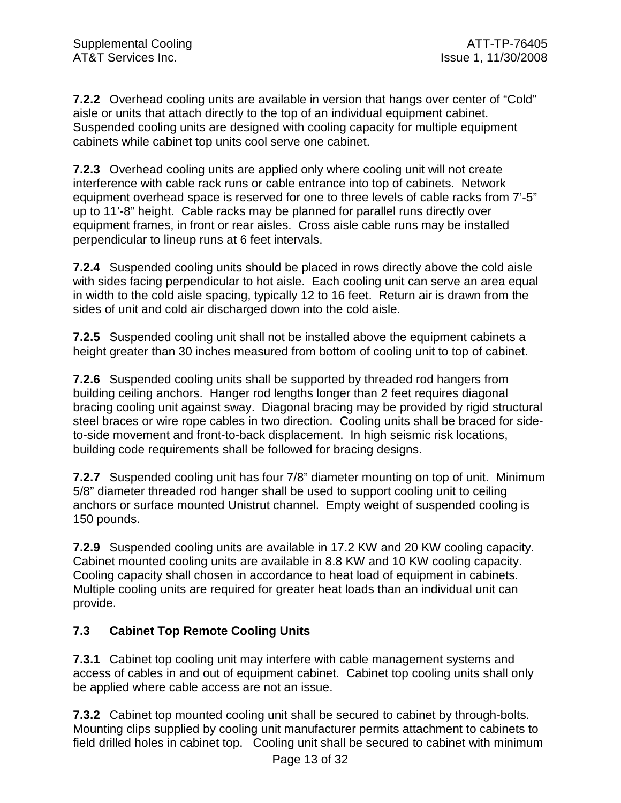**7.2.2** Overhead cooling units are available in version that hangs over center of "Cold" aisle or units that attach directly to the top of an individual equipment cabinet. Suspended cooling units are designed with cooling capacity for multiple equipment cabinets while cabinet top units cool serve one cabinet.

**7.2.3** Overhead cooling units are applied only where cooling unit will not create interference with cable rack runs or cable entrance into top of cabinets. Network equipment overhead space is reserved for one to three levels of cable racks from 7'-5" up to 11'-8" height. Cable racks may be planned for parallel runs directly over equipment frames, in front or rear aisles. Cross aisle cable runs may be installed perpendicular to lineup runs at 6 feet intervals.

**7.2.4** Suspended cooling units should be placed in rows directly above the cold aisle with sides facing perpendicular to hot aisle. Each cooling unit can serve an area equal in width to the cold aisle spacing, typically 12 to 16 feet. Return air is drawn from the sides of unit and cold air discharged down into the cold aisle.

**7.2.5** Suspended cooling unit shall not be installed above the equipment cabinets a height greater than 30 inches measured from bottom of cooling unit to top of cabinet.

**7.2.6** Suspended cooling units shall be supported by threaded rod hangers from building ceiling anchors. Hanger rod lengths longer than 2 feet requires diagonal bracing cooling unit against sway. Diagonal bracing may be provided by rigid structural steel braces or wire rope cables in two direction. Cooling units shall be braced for sideto-side movement and front-to-back displacement. In high seismic risk locations, building code requirements shall be followed for bracing designs.

**7.2.7** Suspended cooling unit has four 7/8" diameter mounting on top of unit. Minimum 5/8" diameter threaded rod hanger shall be used to support cooling unit to ceiling anchors or surface mounted Unistrut channel. Empty weight of suspended cooling is 150 pounds.

**7.2.9** Suspended cooling units are available in 17.2 KW and 20 KW cooling capacity. Cabinet mounted cooling units are available in 8.8 KW and 10 KW cooling capacity. Cooling capacity shall chosen in accordance to heat load of equipment in cabinets. Multiple cooling units are required for greater heat loads than an individual unit can provide.

## **7.3 Cabinet Top Remote Cooling Units**

**7.3.1** Cabinet top cooling unit may interfere with cable management systems and access of cables in and out of equipment cabinet. Cabinet top cooling units shall only be applied where cable access are not an issue.

**7.3.2** Cabinet top mounted cooling unit shall be secured to cabinet by through-bolts. Mounting clips supplied by cooling unit manufacturer permits attachment to cabinets to field drilled holes in cabinet top. Cooling unit shall be secured to cabinet with minimum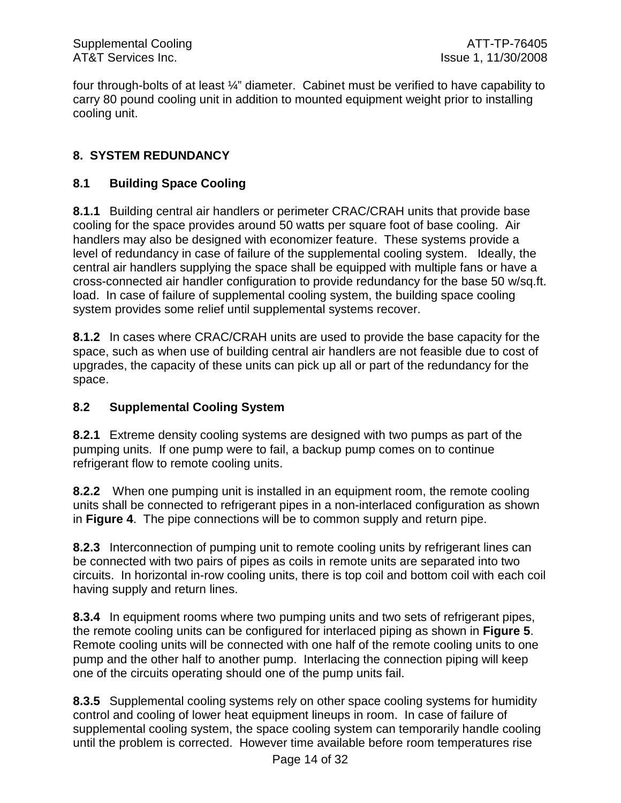four through-bolts of at least ¼" diameter. Cabinet must be verified to have capability to carry 80 pound cooling unit in addition to mounted equipment weight prior to installing cooling unit.

## **8. SYSTEM REDUNDANCY**

#### **8.1 Building Space Cooling**

**8.1.1** Building central air handlers or perimeter CRAC/CRAH units that provide base cooling for the space provides around 50 watts per square foot of base cooling. Air handlers may also be designed with economizer feature. These systems provide a level of redundancy in case of failure of the supplemental cooling system. Ideally, the central air handlers supplying the space shall be equipped with multiple fans or have a cross-connected air handler configuration to provide redundancy for the base 50 w/sq.ft. load. In case of failure of supplemental cooling system, the building space cooling system provides some relief until supplemental systems recover.

**8.1.2** In cases where CRAC/CRAH units are used to provide the base capacity for the space, such as when use of building central air handlers are not feasible due to cost of upgrades, the capacity of these units can pick up all or part of the redundancy for the space.

#### **8.2 Supplemental Cooling System**

**8.2.1** Extreme density cooling systems are designed with two pumps as part of the pumping units. If one pump were to fail, a backup pump comes on to continue refrigerant flow to remote cooling units.

**8.2.2** When one pumping unit is installed in an equipment room, the remote cooling units shall be connected to refrigerant pipes in a non-interlaced configuration as shown in **Figure 4**. The pipe connections will be to common supply and return pipe.

**8.2.3** Interconnection of pumping unit to remote cooling units by refrigerant lines can be connected with two pairs of pipes as coils in remote units are separated into two circuits. In horizontal in-row cooling units, there is top coil and bottom coil with each coil having supply and return lines.

**8.3.4** In equipment rooms where two pumping units and two sets of refrigerant pipes, the remote cooling units can be configured for interlaced piping as shown in **Figure 5**. Remote cooling units will be connected with one half of the remote cooling units to one pump and the other half to another pump. Interlacing the connection piping will keep one of the circuits operating should one of the pump units fail.

**8.3.5** Supplemental cooling systems rely on other space cooling systems for humidity control and cooling of lower heat equipment lineups in room. In case of failure of supplemental cooling system, the space cooling system can temporarily handle cooling until the problem is corrected. However time available before room temperatures rise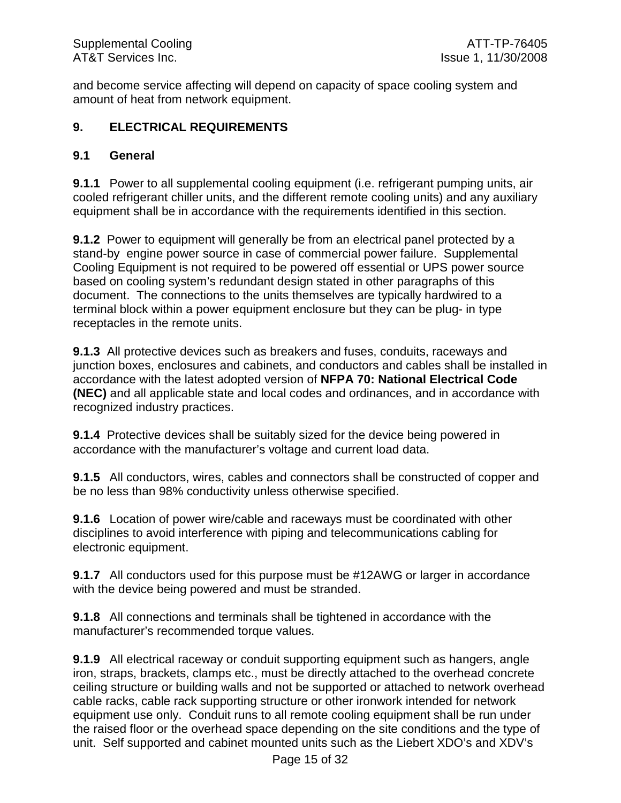and become service affecting will depend on capacity of space cooling system and amount of heat from network equipment.

### **9. ELECTRICAL REQUIREMENTS**

### **9.1 General**

**9.1.1** Power to all supplemental cooling equipment (i.e. refrigerant pumping units, air cooled refrigerant chiller units, and the different remote cooling units) and any auxiliary equipment shall be in accordance with the requirements identified in this section.

**9.1.2** Power to equipment will generally be from an electrical panel protected by a stand-by engine power source in case of commercial power failure. Supplemental Cooling Equipment is not required to be powered off essential or UPS power source based on cooling system's redundant design stated in other paragraphs of this document. The connections to the units themselves are typically hardwired to a terminal block within a power equipment enclosure but they can be plug- in type receptacles in the remote units.

**9.1.3** All protective devices such as breakers and fuses, conduits, raceways and junction boxes, enclosures and cabinets, and conductors and cables shall be installed in accordance with the latest adopted version of **NFPA 70: National Electrical Code (NEC)** and all applicable state and local codes and ordinances, and in accordance with recognized industry practices.

**9.1.4** Protective devices shall be suitably sized for the device being powered in accordance with the manufacturer's voltage and current load data.

**9.1.5** All conductors, wires, cables and connectors shall be constructed of copper and be no less than 98% conductivity unless otherwise specified.

**9.1.6** Location of power wire/cable and raceways must be coordinated with other disciplines to avoid interference with piping and telecommunications cabling for electronic equipment.

**9.1.7** All conductors used for this purpose must be #12AWG or larger in accordance with the device being powered and must be stranded.

**9.1.8** All connections and terminals shall be tightened in accordance with the manufacturer's recommended torque values.

**9.1.9** All electrical raceway or conduit supporting equipment such as hangers, angle iron, straps, brackets, clamps etc., must be directly attached to the overhead concrete ceiling structure or building walls and not be supported or attached to network overhead cable racks, cable rack supporting structure or other ironwork intended for network equipment use only. Conduit runs to all remote cooling equipment shall be run under the raised floor or the overhead space depending on the site conditions and the type of unit. Self supported and cabinet mounted units such as the Liebert XDO's and XDV's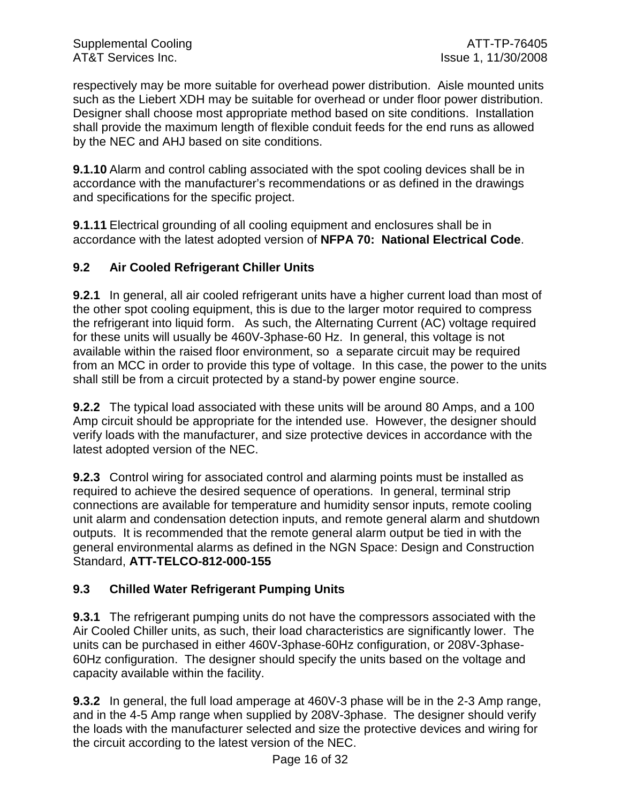respectively may be more suitable for overhead power distribution. Aisle mounted units such as the Liebert XDH may be suitable for overhead or under floor power distribution. Designer shall choose most appropriate method based on site conditions. Installation shall provide the maximum length of flexible conduit feeds for the end runs as allowed by the NEC and AHJ based on site conditions.

**9.1.10** Alarm and control cabling associated with the spot cooling devices shall be in accordance with the manufacturer's recommendations or as defined in the drawings and specifications for the specific project.

**9.1.11** Electrical grounding of all cooling equipment and enclosures shall be in accordance with the latest adopted version of **NFPA 70: National Electrical Code**.

### **9.2 Air Cooled Refrigerant Chiller Units**

**9.2.1** In general, all air cooled refrigerant units have a higher current load than most of the other spot cooling equipment, this is due to the larger motor required to compress the refrigerant into liquid form. As such, the Alternating Current (AC) voltage required for these units will usually be 460V-3phase-60 Hz. In general, this voltage is not available within the raised floor environment, so a separate circuit may be required from an MCC in order to provide this type of voltage. In this case, the power to the units shall still be from a circuit protected by a stand-by power engine source.

**9.2.2** The typical load associated with these units will be around 80 Amps, and a 100 Amp circuit should be appropriate for the intended use. However, the designer should verify loads with the manufacturer, and size protective devices in accordance with the latest adopted version of the NEC.

**9.2.3** Control wiring for associated control and alarming points must be installed as required to achieve the desired sequence of operations. In general, terminal strip connections are available for temperature and humidity sensor inputs, remote cooling unit alarm and condensation detection inputs, and remote general alarm and shutdown outputs. It is recommended that the remote general alarm output be tied in with the general environmental alarms as defined in the NGN Space: Design and Construction Standard, **ATT-TELCO-812-000-155**

## **9.3 Chilled Water Refrigerant Pumping Units**

**9.3.1** The refrigerant pumping units do not have the compressors associated with the Air Cooled Chiller units, as such, their load characteristics are significantly lower. The units can be purchased in either 460V-3phase-60Hz configuration, or 208V-3phase-60Hz configuration. The designer should specify the units based on the voltage and capacity available within the facility.

**9.3.2** In general, the full load amperage at 460V-3 phase will be in the 2-3 Amp range, and in the 4-5 Amp range when supplied by 208V-3phase. The designer should verify the loads with the manufacturer selected and size the protective devices and wiring for the circuit according to the latest version of the NEC.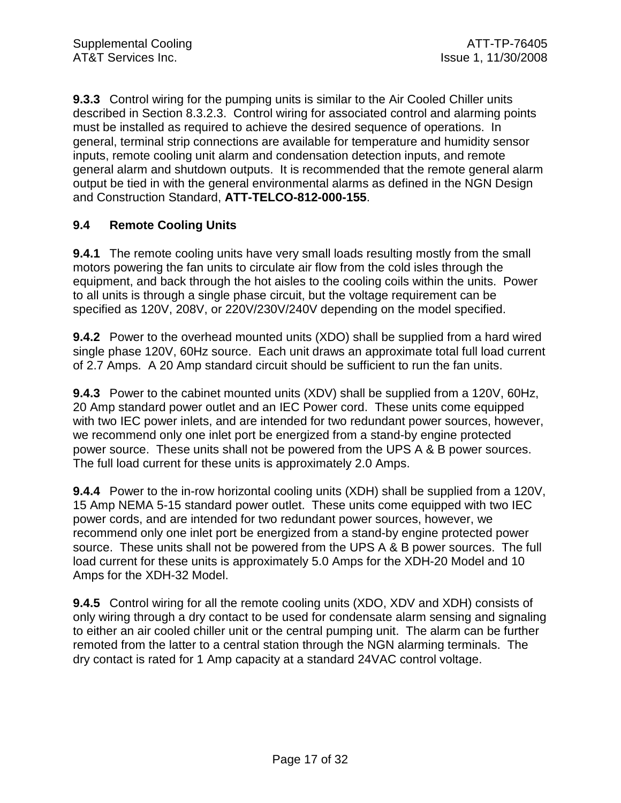**9.3.3** Control wiring for the pumping units is similar to the Air Cooled Chiller units described in Section 8.3.2.3. Control wiring for associated control and alarming points must be installed as required to achieve the desired sequence of operations. In general, terminal strip connections are available for temperature and humidity sensor inputs, remote cooling unit alarm and condensation detection inputs, and remote general alarm and shutdown outputs. It is recommended that the remote general alarm output be tied in with the general environmental alarms as defined in the NGN Design and Construction Standard, **ATT-TELCO-812-000-155**.

## **9.4 Remote Cooling Units**

**9.4.1** The remote cooling units have very small loads resulting mostly from the small motors powering the fan units to circulate air flow from the cold isles through the equipment, and back through the hot aisles to the cooling coils within the units. Power to all units is through a single phase circuit, but the voltage requirement can be specified as 120V, 208V, or 220V/230V/240V depending on the model specified.

**9.4.2** Power to the overhead mounted units (XDO) shall be supplied from a hard wired single phase 120V, 60Hz source. Each unit draws an approximate total full load current of 2.7 Amps. A 20 Amp standard circuit should be sufficient to run the fan units.

**9.4.3** Power to the cabinet mounted units (XDV) shall be supplied from a 120V, 60Hz, 20 Amp standard power outlet and an IEC Power cord. These units come equipped with two IEC power inlets, and are intended for two redundant power sources, however, we recommend only one inlet port be energized from a stand-by engine protected power source. These units shall not be powered from the UPS A & B power sources. The full load current for these units is approximately 2.0 Amps.

**9.4.4** Power to the in-row horizontal cooling units (XDH) shall be supplied from a 120V, 15 Amp NEMA 5-15 standard power outlet. These units come equipped with two IEC power cords, and are intended for two redundant power sources, however, we recommend only one inlet port be energized from a stand-by engine protected power source. These units shall not be powered from the UPS A & B power sources. The full load current for these units is approximately 5.0 Amps for the XDH-20 Model and 10 Amps for the XDH-32 Model.

**9.4.5** Control wiring for all the remote cooling units (XDO, XDV and XDH) consists of only wiring through a dry contact to be used for condensate alarm sensing and signaling to either an air cooled chiller unit or the central pumping unit. The alarm can be further remoted from the latter to a central station through the NGN alarming terminals. The dry contact is rated for 1 Amp capacity at a standard 24VAC control voltage.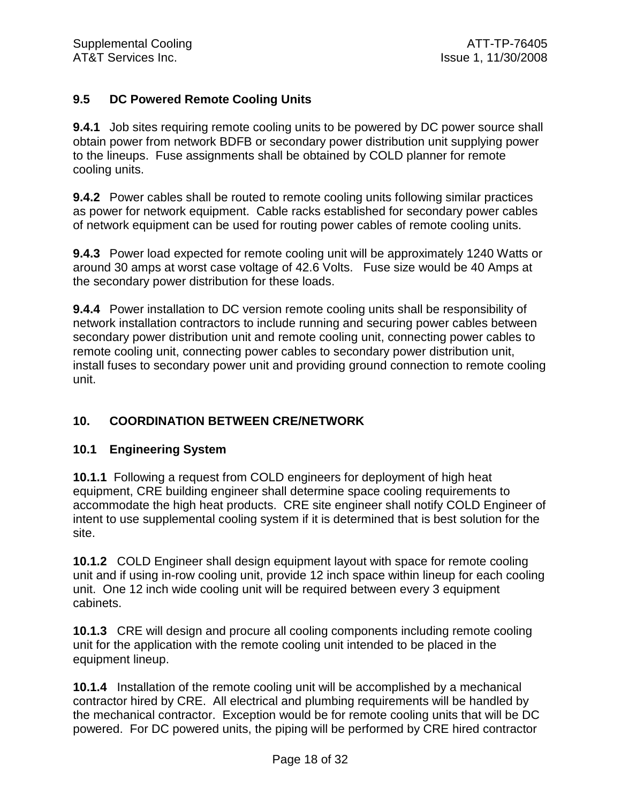### **9.5 DC Powered Remote Cooling Units**

**9.4.1** Job sites requiring remote cooling units to be powered by DC power source shall obtain power from network BDFB or secondary power distribution unit supplying power to the lineups. Fuse assignments shall be obtained by COLD planner for remote cooling units.

**9.4.2** Power cables shall be routed to remote cooling units following similar practices as power for network equipment. Cable racks established for secondary power cables of network equipment can be used for routing power cables of remote cooling units.

**9.4.3** Power load expected for remote cooling unit will be approximately 1240 Watts or around 30 amps at worst case voltage of 42.6 Volts. Fuse size would be 40 Amps at the secondary power distribution for these loads.

**9.4.4** Power installation to DC version remote cooling units shall be responsibility of network installation contractors to include running and securing power cables between secondary power distribution unit and remote cooling unit, connecting power cables to remote cooling unit, connecting power cables to secondary power distribution unit, install fuses to secondary power unit and providing ground connection to remote cooling unit.

### **10. COORDINATION BETWEEN CRE/NETWORK**

#### **10.1 Engineering System**

**10.1.1** Following a request from COLD engineers for deployment of high heat equipment, CRE building engineer shall determine space cooling requirements to accommodate the high heat products. CRE site engineer shall notify COLD Engineer of intent to use supplemental cooling system if it is determined that is best solution for the site.

**10.1.2** COLD Engineer shall design equipment layout with space for remote cooling unit and if using in-row cooling unit, provide 12 inch space within lineup for each cooling unit. One 12 inch wide cooling unit will be required between every 3 equipment cabinets.

**10.1.3** CRE will design and procure all cooling components including remote cooling unit for the application with the remote cooling unit intended to be placed in the equipment lineup.

**10.1.4** Installation of the remote cooling unit will be accomplished by a mechanical contractor hired by CRE. All electrical and plumbing requirements will be handled by the mechanical contractor. Exception would be for remote cooling units that will be DC powered. For DC powered units, the piping will be performed by CRE hired contractor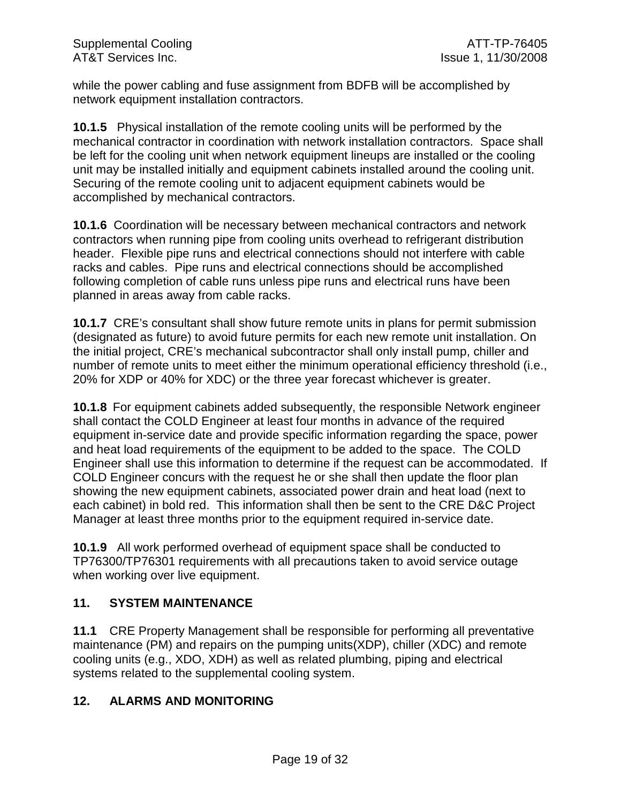while the power cabling and fuse assignment from BDFB will be accomplished by network equipment installation contractors.

**10.1.5** Physical installation of the remote cooling units will be performed by the mechanical contractor in coordination with network installation contractors. Space shall be left for the cooling unit when network equipment lineups are installed or the cooling unit may be installed initially and equipment cabinets installed around the cooling unit. Securing of the remote cooling unit to adjacent equipment cabinets would be accomplished by mechanical contractors.

**10.1.6** Coordination will be necessary between mechanical contractors and network contractors when running pipe from cooling units overhead to refrigerant distribution header. Flexible pipe runs and electrical connections should not interfere with cable racks and cables. Pipe runs and electrical connections should be accomplished following completion of cable runs unless pipe runs and electrical runs have been planned in areas away from cable racks.

**10.1.7** CRE's consultant shall show future remote units in plans for permit submission (designated as future) to avoid future permits for each new remote unit installation. On the initial project, CRE's mechanical subcontractor shall only install pump, chiller and number of remote units to meet either the minimum operational efficiency threshold (i.e., 20% for XDP or 40% for XDC) or the three year forecast whichever is greater.

**10.1.8** For equipment cabinets added subsequently, the responsible Network engineer shall contact the COLD Engineer at least four months in advance of the required equipment in-service date and provide specific information regarding the space, power and heat load requirements of the equipment to be added to the space. The COLD Engineer shall use this information to determine if the request can be accommodated. If COLD Engineer concurs with the request he or she shall then update the floor plan showing the new equipment cabinets, associated power drain and heat load (next to each cabinet) in bold red. This information shall then be sent to the CRE D&C Project Manager at least three months prior to the equipment required in-service date.

**10.1.9** All work performed overhead of equipment space shall be conducted to TP76300/TP76301 requirements with all precautions taken to avoid service outage when working over live equipment.

### **11. SYSTEM MAINTENANCE**

**11.1** CRE Property Management shall be responsible for performing all preventative maintenance (PM) and repairs on the pumping units(XDP), chiller (XDC) and remote cooling units (e.g., XDO, XDH) as well as related plumbing, piping and electrical systems related to the supplemental cooling system.

#### **12. ALARMS AND MONITORING**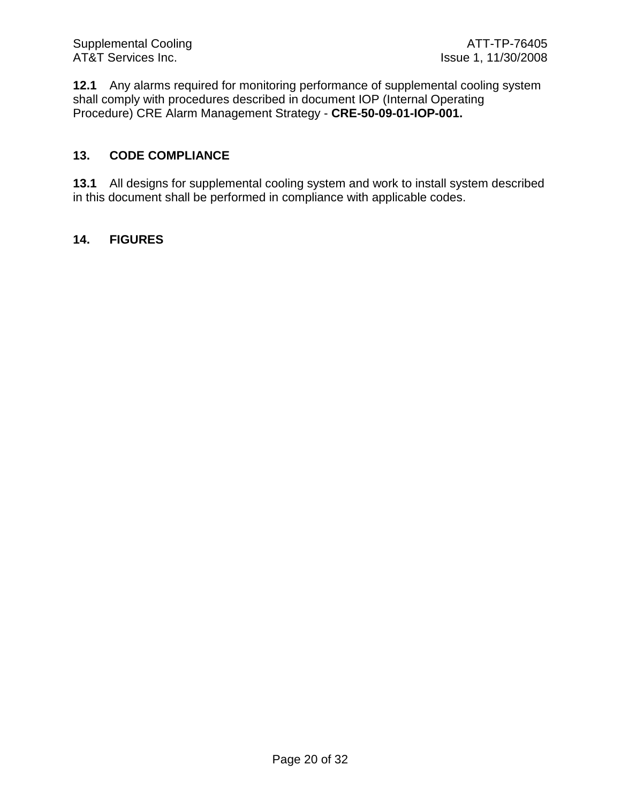**12.1** Any alarms required for monitoring performance of supplemental cooling system shall comply with procedures described in document IOP (Internal Operating Procedure) CRE Alarm Management Strategy - **CRE-50-09-01-IOP-001.**

#### **13. CODE COMPLIANCE**

**13.1** All designs for supplemental cooling system and work to install system described in this document shall be performed in compliance with applicable codes.

#### **14. FIGURES**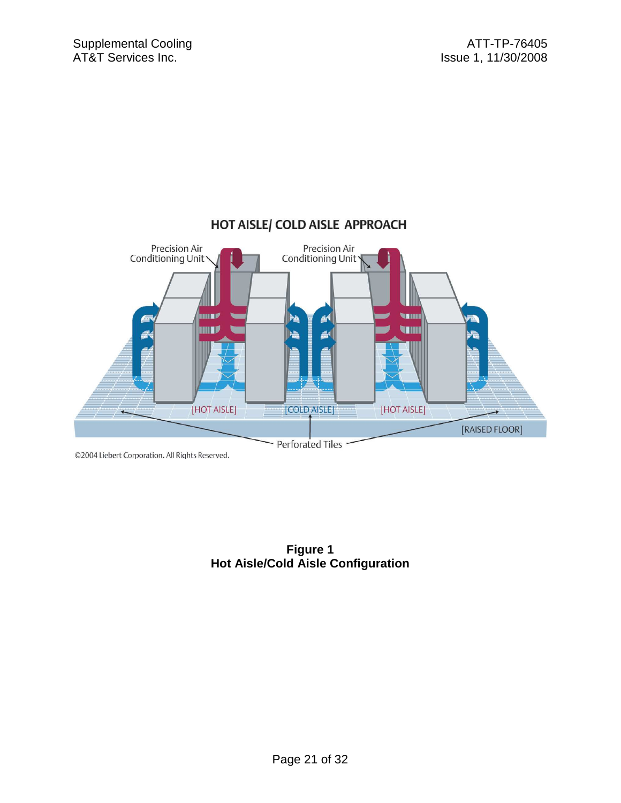

## HOT AISLE/ COLD AISLE APPROACH

©2004 Liebert Corporation. All Rights Reserved.

### **Figure 1 Hot Aisle/Cold Aisle Configuration**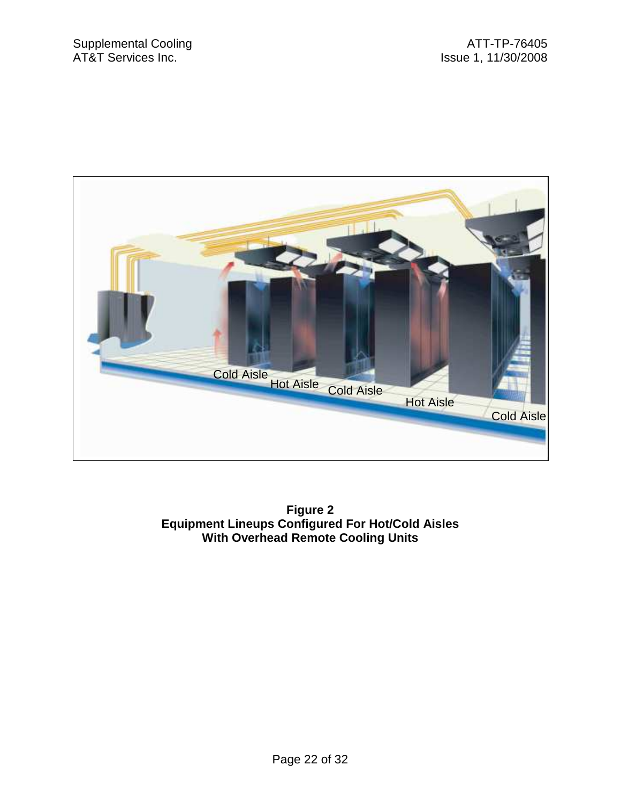

**Figure 2 Equipment Lineups Configured For Hot/Cold Aisles With Overhead Remote Cooling Units**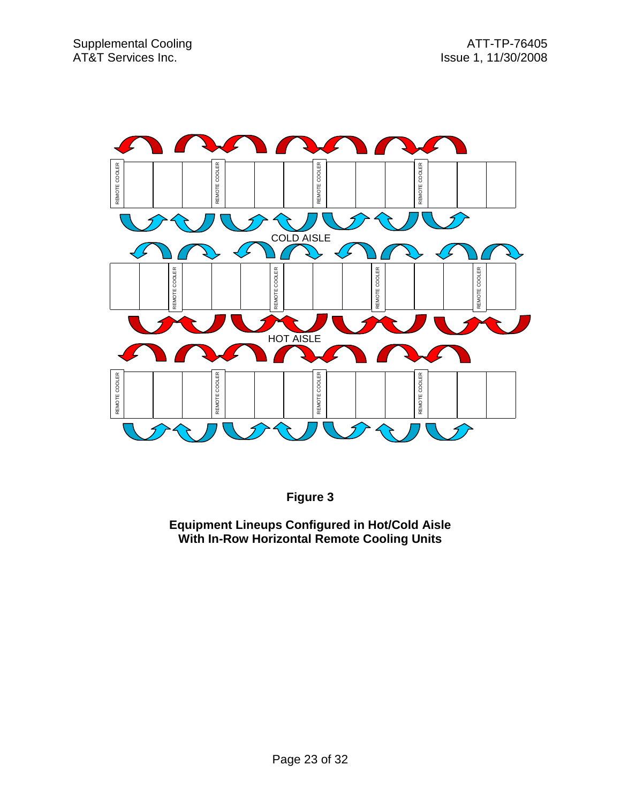

**Figure 3** 

**Equipment Lineups Configured in Hot/Cold Aisle With In-Row Horizontal Remote Cooling Units**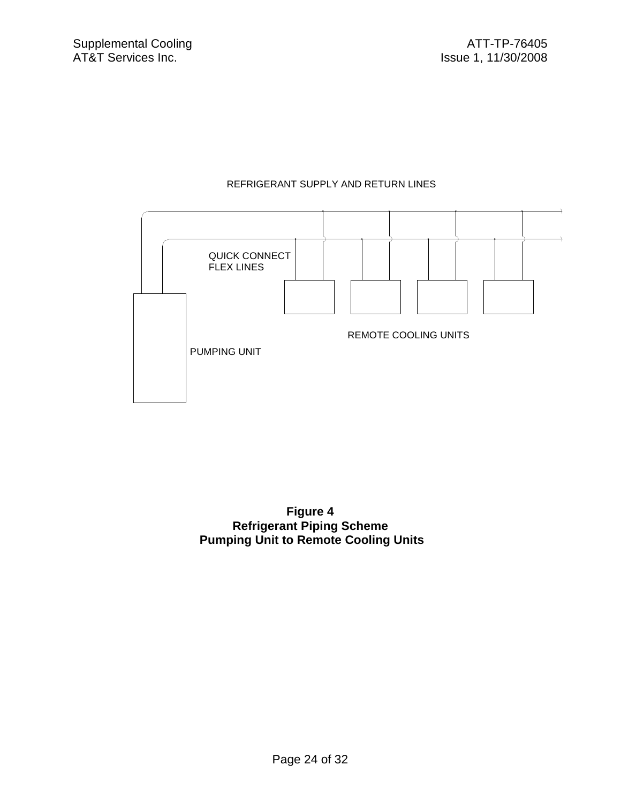#### REFRIGERANT SUPPLY AND RETURN LINES



#### **Figure 4 Refrigerant Piping Scheme Pumping Unit to Remote Cooling Units**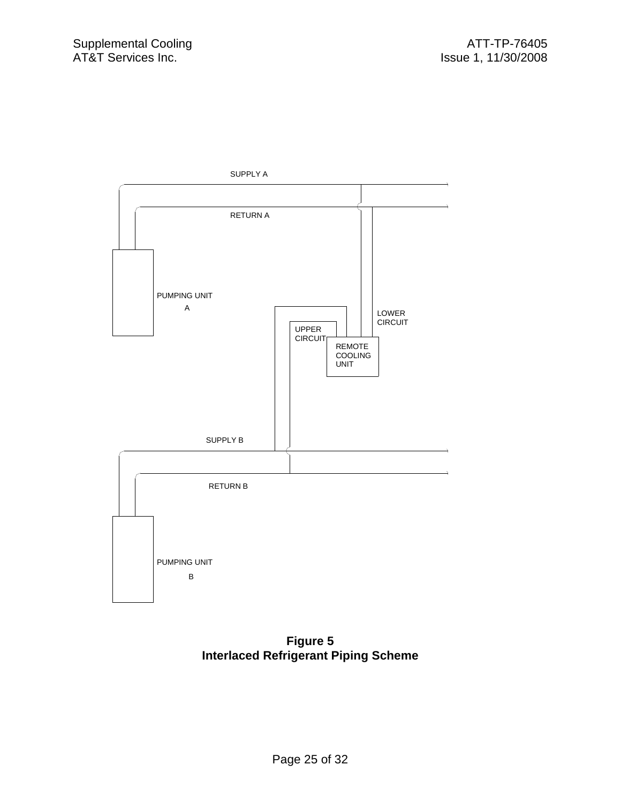

**Figure 5 Interlaced Refrigerant Piping Scheme**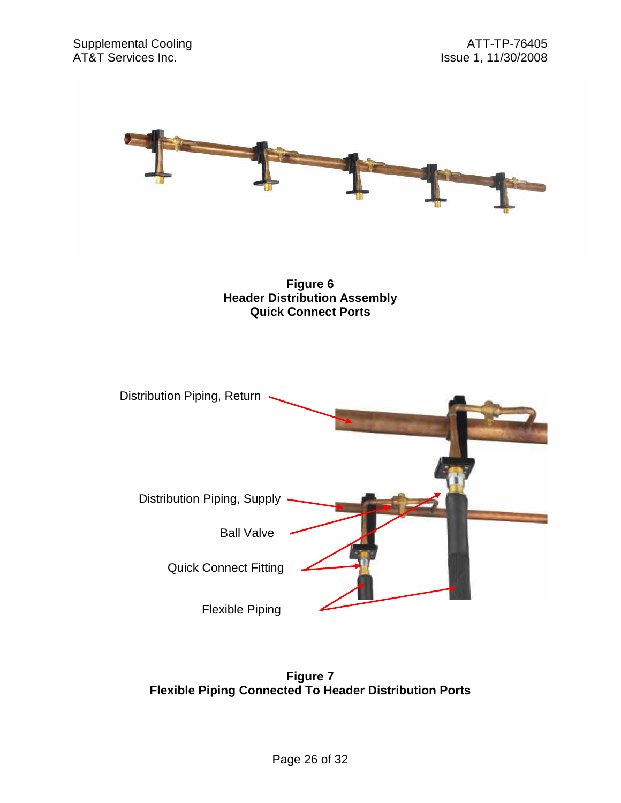

**Figure 7 Flexible Piping Connected To Header Distribution Ports**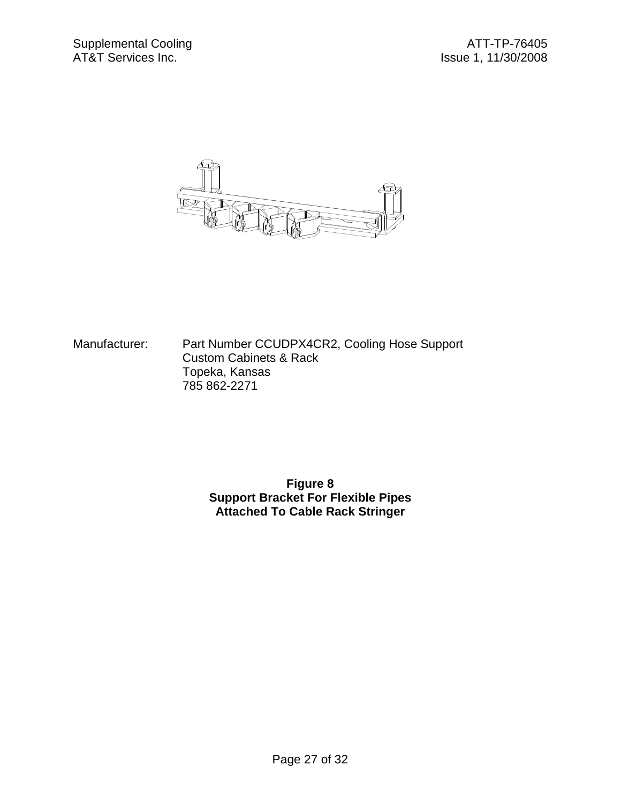

Manufacturer: Part Number CCUDPX4CR2, Cooling Hose Support Custom Cabinets & Rack Topeka, Kansas 785 862-2271

> **Figure 8 Support Bracket For Flexible Pipes Attached To Cable Rack Stringer**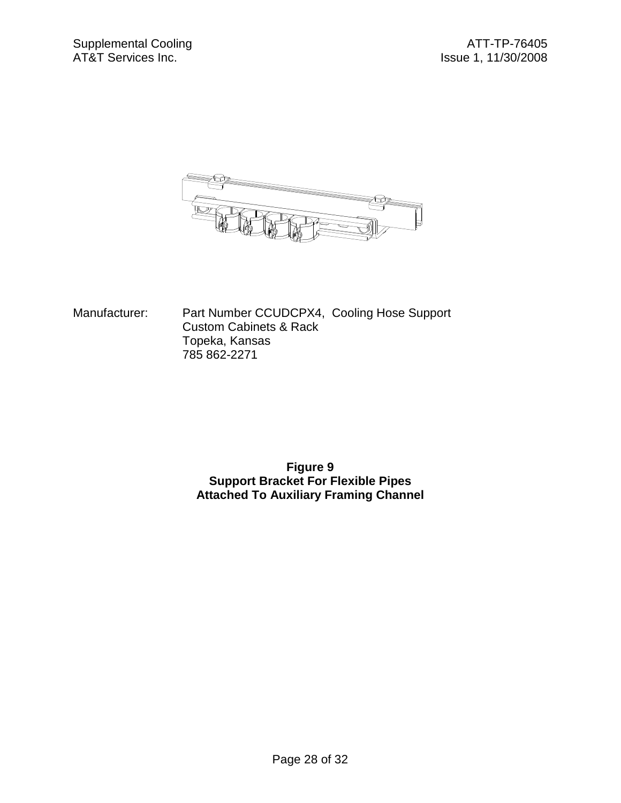

Manufacturer: Part Number CCUDCPX4, Cooling Hose Support Custom Cabinets & Rack Topeka, Kansas 785 862-2271

#### **Figure 9 Support Bracket For Flexible Pipes Attached To Auxiliary Framing Channel**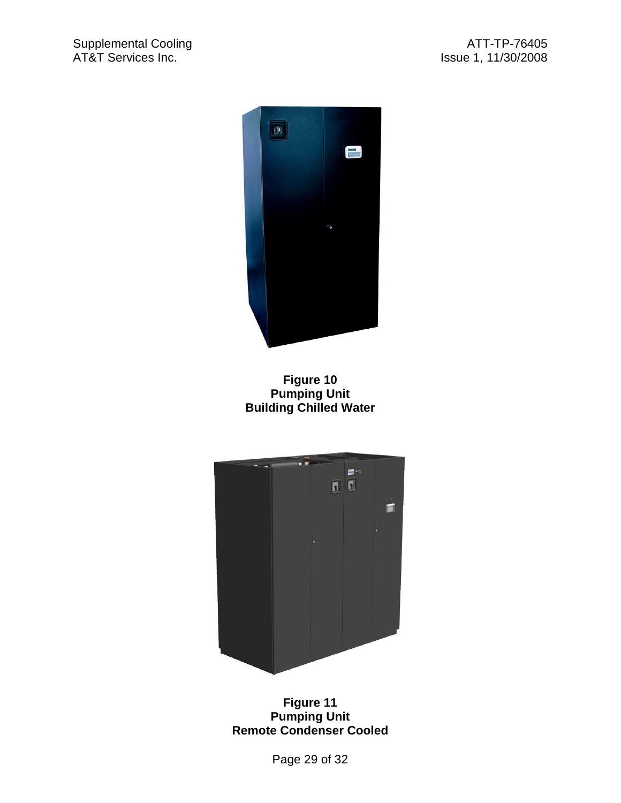

## **Figure 10 Pumping Unit Building Chilled Water**



**Figure 11 Pumping Unit Remote Condenser Cooled** 

Page 29 of 32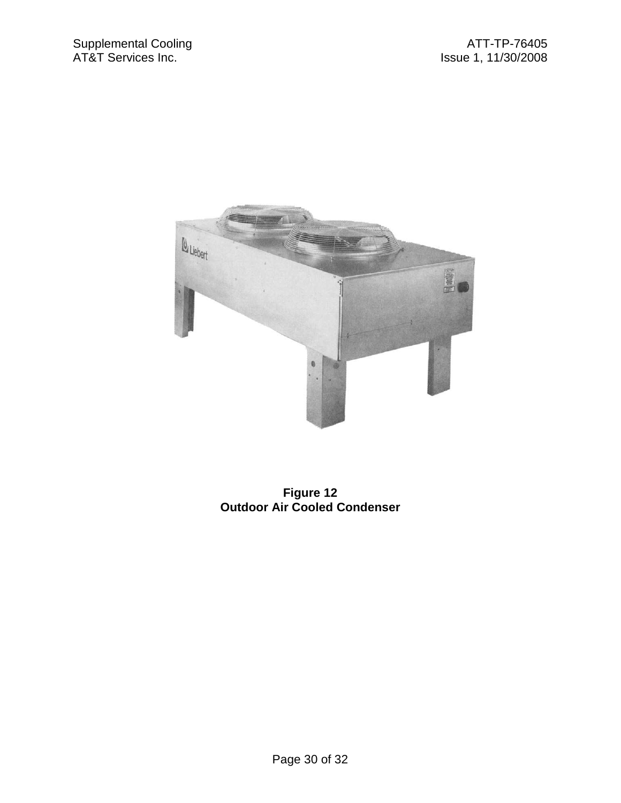

#### **Figure 12 Outdoor Air Cooled Condenser**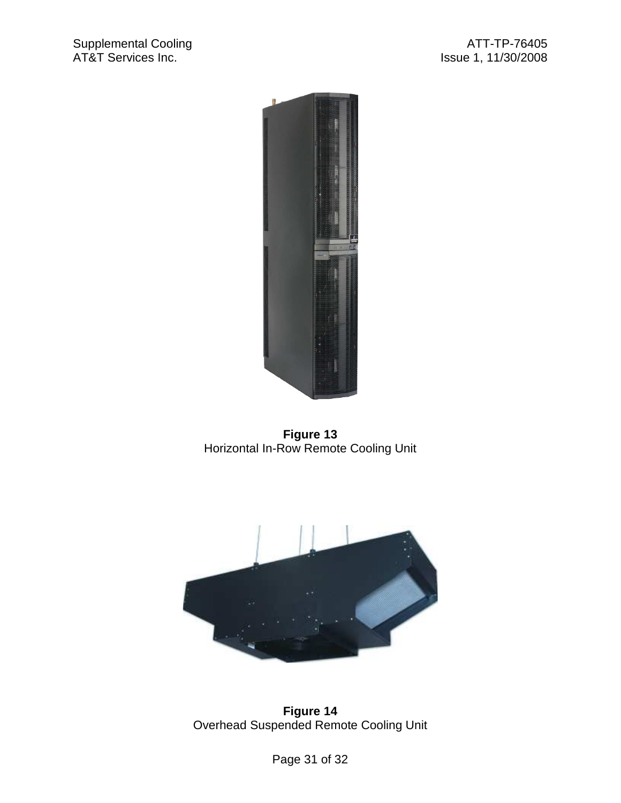

**Figure 13**  Horizontal In-Row Remote Cooling Unit



**Figure 14**  Overhead Suspended Remote Cooling Unit

Page 31 of 32